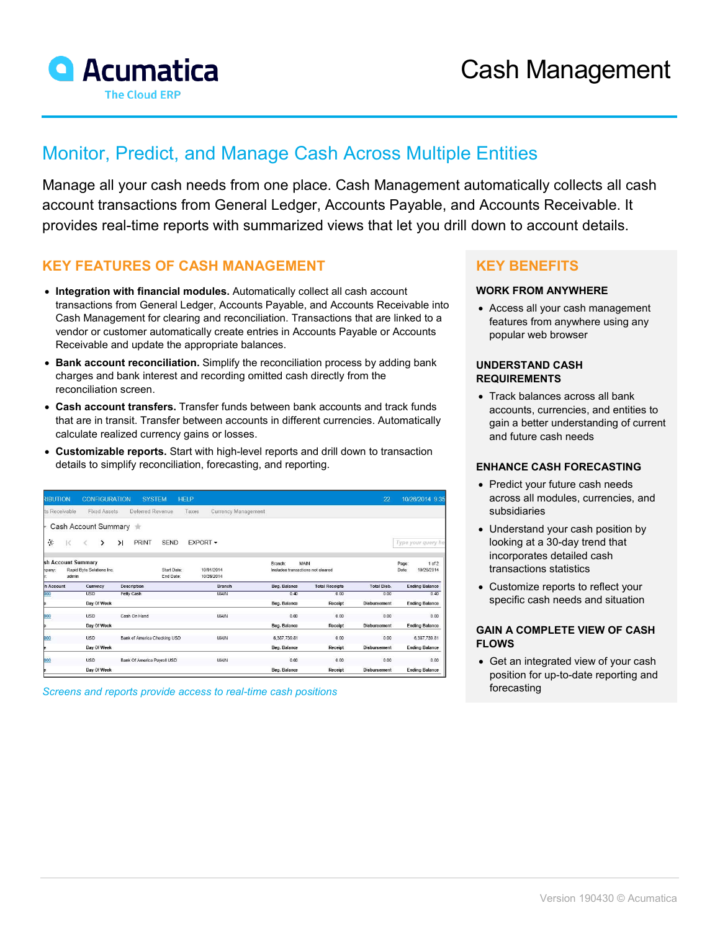

# Monitor, Predict, and Manage Cash Across Multiple Entities

Manage all your cash needs from one place. Cash Management automatically collects all cash account transactions from General Ledger, Accounts Payable, and Accounts Receivable. It provides real-time reports with summarized views that let you drill down to account details.

# **KEY FEATURES OF CASH MANAGEMENT**

- **Integration with financial modules.** Automatically collect all cash account transactions from General Ledger, Accounts Payable, and Accounts Receivable into Cash Management for clearing and reconciliation. Transactions that are linked to a vendor or customer automatically create entries in Accounts Payable or Accounts Receivable and update the appropriate balances.
- **Bank account reconciliation.** Simplify the reconciliation process by adding bank charges and bank interest and recording omitted cash directly from the reconciliation screen.
- **Cash account transfers.** Transfer funds between bank accounts and track funds that are in transit. Transfer between accounts in different currencies. Automatically calculate realized currency gains or losses.
- **Customizable reports.** Start with high-level reports and drill down to transaction details to simplify reconciliation, forecasting, and reporting.

| RIBUTION      |              | <b>CONFIGURATION</b>                            |           | <b>SYSTEM</b>                |                          | <b>HELP</b>                  |                          |              |                                           | 22                  |                | 10/26/2014 9:35          |
|---------------|--------------|-------------------------------------------------|-----------|------------------------------|--------------------------|------------------------------|--------------------------|--------------|-------------------------------------------|---------------------|----------------|--------------------------|
| ts Receivable |              | <b>Fixed Assets</b>                             |           | Deferred Revenue             |                          | Currency Management<br>Taxes |                          |              |                                           |                     |                |                          |
|               |              | Cash Account Summary                            |           |                              |                          |                              |                          |              |                                           |                     |                |                          |
| 症             | $\mathbb{R}$ | ゝ                                               | $\lambda$ | <b>PRINT</b>                 | <b>SEND</b>              | EXPORT -                     |                          |              |                                           |                     |                | Type your guery he       |
| hpany:<br>r   | admin        | sh Account Summary<br>Rapid Byte Solutions Inc. |           |                              | Start Date:<br>End Date: |                              | 10/01/2014<br>10/26/2014 | Branch:      | MAIN<br>Includes transactions not cleared |                     | Page:<br>Date: | $1$ of $2$<br>10/26/2014 |
| h Account     |              | Currency                                        |           | <b>Description</b>           |                          |                              | <b>Branch</b>            | Beg. Balance | <b>Total Receipts</b>                     | <b>Total Disb.</b>  |                | <b>Ending Balance</b>    |
| 000           |              | <b>USD</b>                                      |           | Petty Cash                   |                          |                              | MAIN                     | 0.40         | 0.00                                      | 0.00                |                | 0.40                     |
|               |              | Day Of Week                                     |           |                              |                          |                              |                          | Beg. Balance | Receipt                                   | <b>Disbursement</b> |                | <b>Ending Balance</b>    |
| 000           |              | <b>USD</b>                                      |           | Cash On Hand                 |                          |                              | MAIN                     | 0.00         | 0.00                                      | 0.00                |                | 0.00                     |
|               |              | Day Of Week                                     |           |                              |                          |                              |                          | Beg. Balance | Receipt                                   | Disbursement        |                | <b>Ending Balance</b>    |
| 000           |              | <b>USD</b>                                      |           | Bank of America Checking USD |                          |                              | MAIN                     | 6,387,739.81 | 0.00                                      | 0.00                |                | 6,387,739.81             |
|               |              | Day Of Week                                     |           |                              |                          |                              |                          | Beg. Balance | Receipt                                   | <b>Disbursement</b> |                | <b>Ending Balance</b>    |
| 000           |              | <b>USD</b>                                      |           | Bank Of America Pavroll USD  |                          |                              | MAIN                     | 0.00         | 0.00                                      | 0.00                |                | 0.00                     |
|               |              | Day Of Week                                     |           |                              |                          |                              |                          | Beg. Balance | Receipt                                   | <b>Disbursement</b> |                | <b>Ending Balance</b>    |

*Screens and reports provide access to real* forecasting *-time cash positions*

## **KEY BENEFITS**

### **WORK FROM ANYWHERE**

• Access all your cash management features from anywhere using any popular web browser

#### **UNDERSTAND CASH REQUIREMENTS**

• Track balances across all bank accounts, currencies, and entities to gain a better understanding of current and future cash needs

#### **ENHANCE CASH FORECASTING**

- Predict your future cash needs across all modules, currencies, and subsidiaries
- Understand your cash position by looking at a 30-day trend that incorporates detailed cash transactions statistics
- Customize reports to reflect your specific cash needs and situation

#### **GAIN A COMPLETE VIEW OF CASH FLOWS**

• Get an integrated view of your cash position for up-to-date reporting and